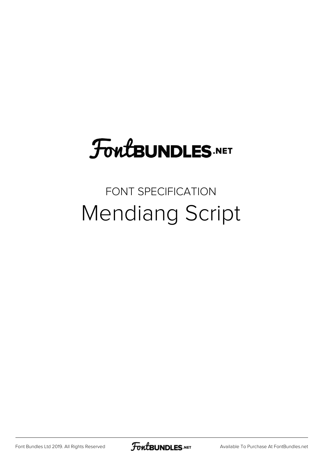## **FoutBUNDLES.NET**

## FONT SPECIFICATION Mendiang Script

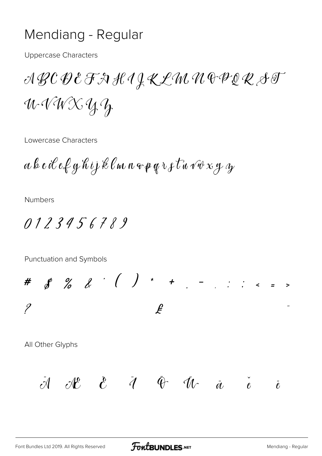## Mendiang - Regular

**Uppercase Characters** 

WVWXYZ

Lowercase Characters

 $a$  b c il e f g h i j k l m n  $\circ$  p g r s t n v v x g  $\alpha$ 

**Numbers** 

0123456789

Punctuation and Symbols

#  $8$  % & ' ( ) \* +  $-$  : : : < = >  $\overline{\mathscr{C}}$  $\overline{\mathcal{L}}$ .. All Other Glyphs  $\ddot{\mathcal{A}}$  AC  $\ddot{\mathcal{C}}$   $\ddot{\mathcal{A}}$   $\ddot{\mathcal{C}}$   $\ddot{\mathcal{C}}$   $\ddot{\mathcal{C}}$  $\ddot{\ell}$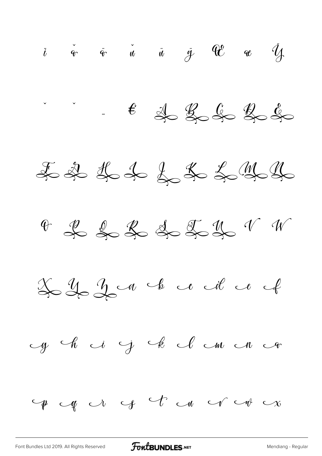$\ddot{i}$   $\ddot{\phi}$   $\ddot{\phi}$   $\ddot{u}$   $\ddot{u}$   $\ddot{y}$   $\ddot{w}$   $\ddot{y}$  $f \notin \mathcal{L} \nleftrightarrow \mathcal{L} \nleftrightarrow \mathcal{L} \nleftrightarrow$ F & H & & & & & y y 4 2 2 2 3 4 5 4 1 1  $2222$  de de la comme de la comme cycle i j k cl cm cn con  $\forall p \in \mathcal{A} \cup \mathcal{C} \cup \mathcal{C} \cup \mathcal{C} \cup \mathcal{C} \cup \mathcal{C} \cup \mathcal{C}$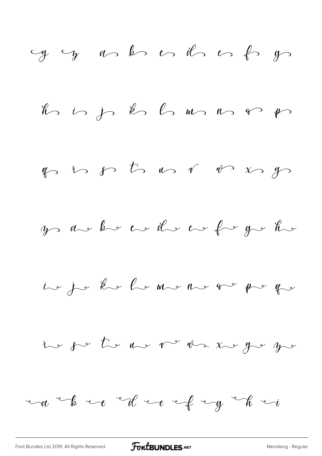[Font Bundles Ltd 2019. All Rights Reserved](https://fontbundles.net/) **FoutBUNDLES.NET** [Mendiang - Regular](https://fontbundles.net/)